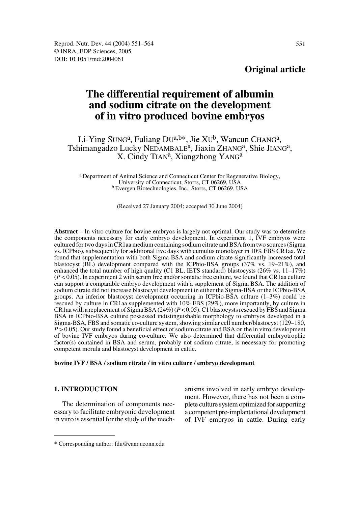# **Original article**

# **The differential requirement of albumin and sodium citrate on the development of in vitro produced bovine embryos**

Li-Ying SUNG<sup>a</sup>, Fuliang DU<sup>a,b\*</sup>, Jie XU<sup>b</sup>, Wancun CHANG<sup>a</sup>, Tshimangadzo Lucky NEDAMBALE<sup>a</sup>, Jiaxin ZHANG<sup>a</sup>, Shie JIANG<sup>a</sup>, X. Cindy TIAN<sup>a</sup>, Xiangzhong YANG<sup>a</sup>

a Department of Animal Science and Connecticut Center for Regenerative Biology, University of Connecticut, Storrs, CT 06269, USA b Evergen Biotechnologies, Inc., Storrs, CT 06269, USA

(Received 27 January 2004; accepted 30 June 2004)

**Abstract** – In vitro culture for bovine embryos is largely not optimal. Our study was to determine the components necessary for early embryo development. In experiment 1, IVF embryos were cultured for two days in CR1aa medium containing sodium citrate and BSA from two sources (Sigma vs. ICPbio), subsequently for additional five days with cumulus monolayer in 10% FBS CR1aa. We found that supplementation with both Sigma-BSA and sodium citrate significantly increased total blastocyst (BL) development compared with the ICPbio-BSA groups (37% vs. 19–21%), and enhanced the total number of high quality (C1 BL, IETS standard) blastocysts (26% vs. 11–17%) (*P* < 0.05). In experiment 2 with serum free and/or somatic free culture, we found that CR1aa culture can support a comparable embryo development with a supplement of Sigma BSA. The addition of sodium citrate did not increase blastocyst development in either the Sigma-BSA or the ICPbio-BSA groups. An inferior blastocyst development occurring in ICPbio-BSA culture (1–3%) could be rescued by culture in CR1aa supplemented with 10% FBS (29%), more importantly, by culture in CR1aa with a replacement of Sigma BSA (24%) (*P* < 0.05). C1 blastocysts rescued by FBS and Sigma BSA in ICPbio-BSA culture possessed indistinguishable morphology to embryos developed in a Sigma-BSA, FBS and somatic co-culture system, showing similar cell number/blastocyst (129–180,  $P > 0.05$ ). Our study found a beneficial effect of sodium citrate and BSA on the in vitro development of bovine IVF embryos during co-culture. We also determined that differential embryotrophic factor(s) contained in BSA and serum, probably not sodium citrate, is necessary for promoting competent morula and blastocyst development in cattle.

#### **bovine IVF / BSA / sodium citrate / in vitro culture / embryo development**

#### **1. INTRODUCTION**

The determination of components necessary to facilitate embryonic development in vitro is essential for the study of the mechanisms involved in early embryo development. However, there has not been a complete culture system optimized for supporting a competent pre-implantational development of IVF embryos in cattle. During early

<sup>\*</sup> Corresponding author: fdu@canr.uconn.edu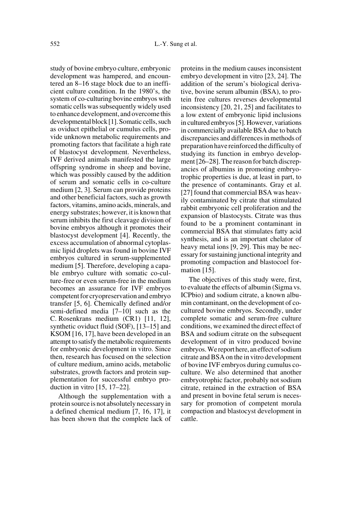study of bovine embryo culture, embryonic development was hampered, and encountered an 8–16 stage block due to an inefficient culture condition. In the 1980's, the system of co-culturing bovine embryos with somatic cells was subsequently widely used to enhance development, and overcome this developmental block [1]. Somatic cells, such as oviduct epithelial or cumulus cells, provide unknown metabolic requirements and promoting factors that facilitate a high rate of blastocyst development. Nevertheless, IVF derived animals manifested the large offspring syndrome in sheep and bovine, which was possibly caused by the addition of serum and somatic cells in co-culture medium [2, 3]. Serum can provide proteins and other beneficial factors, such as growth factors, vitamins, amino acids, minerals, and energy substrates; however, it is known that serum inhibits the first cleavage division of bovine embryos although it promotes their blastocyst development [4]. Recently, the excess accumulation of abnormal cytoplasmic lipid droplets was found in bovine IVF embryos cultured in serum-supplemented medium [5]. Therefore, developing a capable embryo culture with somatic co-culture-free or even serum-free in the medium becomes an assurance for IVF embryos competent for cryopreservation and embryo transfer [5, 6]. Chemically defined and/or semi-defined media [7–10] such as the C. Rosenkrans medium (CR1) [11, 12], synthetic oviduct fluid (SOF), [13–15] and KSOM [16, 17], have been developed in an attempt to satisfy the metabolic requirements for embryonic development in vitro. Since then, research has focused on the selection of culture medium, amino acids, metabolic substrates, growth factors and protein supplementation for successful embryo production in vitro [15, 17–22].

Although the supplementation with a protein source is not absolutely necessary in a defined chemical medium [7, 16, 17], it has been shown that the complete lack of proteins in the medium causes inconsistent embryo development in vitro [23, 24]. The addition of the serum's biological derivative, bovine serum albumin (BSA), to protein free cultures reverses developmental inconsistency [20, 21, 25] and facilitates to a low extent of embryonic lipid inclusions in cultured embryos [5]. However, variations in commercially available BSA due to batch discrepancies and differences in methods of preparation have reinforced the difficulty of studying its function in embryo development [26–28]. The reason for batch discrepancies of albumins in promoting embryotrophic properties is due, at least in part, to the presence of contaminants. Gray et al. [27] found that commercial BSA was heavily contaminated by citrate that stimulated rabbit embryonic cell proliferation and the expansion of blastocysts. Citrate was thus found to be a prominent contaminant in commercial BSA that stimulates fatty acid synthesis, and is an important chelator of heavy metal ions [9, 29]. This may be necessary for sustaining junctional integrity and promoting compaction and blastocoel formation [15].

The objectives of this study were, first, to evaluate the effects of albumin (Sigma vs. ICPbio) and sodium citrate, a known albumin contaminant, on the development of cocultured bovine embryos. Secondly, under complete somatic and serum-free culture conditions, we examined the direct effect of BSA and sodium citrate on the subsequent development of in vitro produced bovine embryos. We report here, an effect of sodium citrate and BSA on the in vitro development of bovine IVF embryos during cumulus coculture. We also determined that another embryotrophic factor, probably not sodium citrate, retained in the extraction of BSA and present in bovine fetal serum is necessary for promotion of competent morula compaction and blastocyst development in cattle.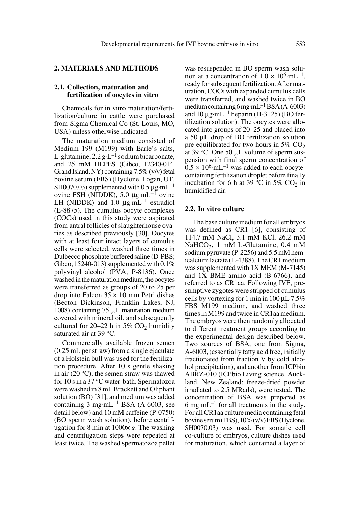# **2. MATERIALS AND METHODS**

#### **2.1. Collection, maturation and fertilization of oocytes in vitro**

Chemicals for in vitro maturation/fertilization/culture in cattle were purchased from Sigma Chemical Co (St. Louis, MO, USA) unless otherwise indicated.

The maturation medium consisted of Medium 199 (M199) with Earle's salts, L-glutamine,  $2.2 g \text{·}L^{-1}$  sodium bicarbonate, and 25 mM HEPES (Gibco, 12340-014, Grand Island, NY) containing 7.5% (v/v) fetal bovine serum (FBS) (Hyclone, Logan, UT, SH0070.03) supplemented with 0.5  $\mu$ g·mL<sup>-1</sup> ovine FSH (NIDDK), 5.0  $\mu$ g·mL<sup>-1</sup> ovine LH (NIDDK) and 1.0  $\mu$ g·mL<sup>-1</sup> estradiol (E-8875). The cumulus oocyte complexes (COCs) used in this study were aspirated from antral follicles of slaughterhouse ovaries as described previously [30]. Oocytes with at least four intact layers of cumulus cells were selected, washed three times in Dulbecco phosphate buffered saline (D-PBS; Gibco, 15240-013) supplemented with  $0.1\%$ polyvinyl alcohol (PVA; P-8136). Once washed in the maturation medium, the oocytes were transferred as groups of 20 to 25 per drop into Falcon  $35 \times 10$  mm Petri dishes (Becton Dickinson, Franklin Lakes, NJ, 1008) containing 75 µL maturation medium covered with mineral oil, and subsequently cultured for 20–22 h in 5%  $CO<sub>2</sub>$  humidity saturated air at 39 °C.

Commercially available frozen semen (0.25 mL per straw) from a single ejaculate of a Holstein bull was used for the fertilization procedure. After 10 s gentle shaking in air (20 °C), the semen straw was thawed for 10 s in a 37 °C water-bath. Spermatozoa were washed in 8 mL Brackett and Oliphant solution (BO) [31], and medium was added containing  $3 \text{ mg} \cdot \text{mL}^{-1}$  BSA (A-6003, see detail below) and 10 mM caffeine (P-0750) (BO sperm wash solution), before centrifugation for 8 min at 1000× *g*. The washing and centrifugation steps were repeated at least twice. The washed spermatozoa pellet was resuspended in BO sperm wash solution at a concentration of  $1.0 \times 10^{6}$ ·mL<sup>-1</sup>, ready for subsequent fertilization. After maturation, COCs with expanded cumulus cells were transferred, and washed twice in BO medium containing 6 mg·mL<sup>-1</sup> BSA (A-6003) and  $10 \mu$ g·mL<sup>-1</sup> heparin (H-3125) (BO fertilization solution). The oocytes were allocated into groups of 20–25 and placed into a 50 µL drop of BO fertilization solution pre-equilibrated for two hours in  $5\%$  CO<sub>2</sub> at 39 °C. One 50 µL volume of sperm suspension with final sperm concentration of  $0.5 \times 10^6$ ·mL<sup>-1</sup> was added to each oocytecontaining fertilization droplet before finally incubation for 6 h at 39 °C in 5% CO<sub>2</sub> in humidified air.

#### **2.2. In vitro culture**

The base culture medium for all embryos was defined as CR1 [6], consisting of 114.7 mM NaCl, 3.1 mM KCl, 26.2 mM NaHCO<sub>3</sub>, 1 mM L-Glutamine, 0.4 mM sodium pyruvate (P-2256) and 5.5 mM hemicalcium lactate (L-4388). The CR1 medium was supplemented with 1X MEM (M-7145) and 1X BME amino acid (B-6766), and referred to as CR1aa. Following IVF, presumptive zygotes were stripped of cumulus cells by vortexing for 1 min in  $100 \mu L$  7.5% FBS M199 medium, and washed three times in M199 and twice in CR1aa medium. The embryos were then randomly allocated to different treatment groups according to the experimental design described below. Two sources of BSA, one from Sigma, A-6003, (essentially fatty acid free, initially fractionated from fraction V by cold alcohol precipitation), and another from ICPbio ABRZ-010 (ICPbio Living science, Auckland, New Zealand; freeze-dried powder irradiated to 2.5 MRads), were tested. The concentration of BSA was prepared as 6 mg·mL<sup>-1</sup> for all treatments in the study. For all CR1aa culture media containing fetal bovine serum (FBS), 10% (v/v) FBS (Hyclone, SH0070.03) was used. For somatic cell co-culture of embryos, culture dishes used for maturation, which contained a layer of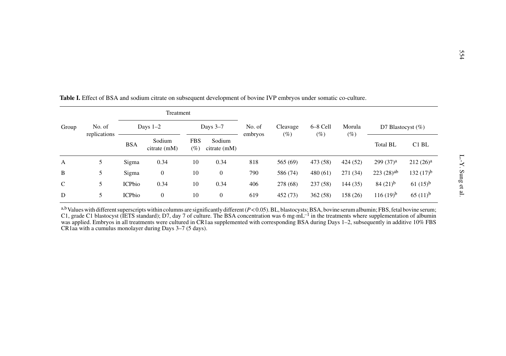|       |                        |                                       |                                                                                                                     |                      |                          |         |          |          |          |                       |                   | 554               |
|-------|------------------------|---------------------------------------|---------------------------------------------------------------------------------------------------------------------|----------------------|--------------------------|---------|----------|----------|----------|-----------------------|-------------------|-------------------|
|       |                        |                                       | Table I. Effect of BSA and sodium citrate on subsequent development of bovine IVP embryos under somatic co-culture. |                      |                          |         |          |          |          |                       |                   |                   |
| Group | No. of<br>replications | Treatment<br>Days $1-2$<br>Days $3-7$ |                                                                                                                     |                      |                          | No. of  | Cleavage | 6–8 Cell | Morula   | D7 Blastocyst $(\%)$  |                   |                   |
|       |                        | <b>BSA</b>                            | Sodium<br>citrate (mM)                                                                                              | <b>FBS</b><br>$(\%)$ | Sodium<br>$citrate$ (mM) | embryos | $(\%)$   | $(\%)$   | $(\%)$   | <b>Total BL</b>       | C <sub>1</sub> BL |                   |
| A     | 5                      | Sigma                                 | 0.34                                                                                                                | 10                   | 0.34                     | 818     | 565 (69) | 473 (58) | 424 (52) | 299(37) <sup>a</sup>  | $212(26)^a$       | $L - Y$ . Sung et |
| B     | 5                      | Sigma                                 | $\overline{0}$                                                                                                      | 10                   | $\overline{0}$           | 790     | 586 (74) | 480 (61) | 271(34)  | 223(28) <sup>ab</sup> | $132(17)^{b}$     |                   |
| C     | 5                      | <b>ICPbio</b>                         | 0.34                                                                                                                | 10                   | 0.34                     | 406     | 278 (68) | 237 (58) | 144 (35) | $84(21)^{b}$          | $61(15)^{b}$      |                   |
|       | 5                      | <b>ICPbio</b>                         | $\mathbf{0}$                                                                                                        | 10                   | $\overline{0}$           | 619     | 452 (73) | 362 (58) | 158 (26) | $116(19)^{b}$         | $65(11)^{b}$      | al.               |

a,b Values with different superscripts within columns are significantly different (*P* < 0.05). BL, blastocysts; BSA, bovine serum albumin; FBS, fetal bovine serum; C1, grade C1 blastocyst (IETS standard); D7, day 7 of culture. The BSA concentration was 6 mg·mL<sup>-1</sup> in the treatments where supplementation of albumin was applied. Embryos in all treatments were cultured in CR1aa supplemented with corresponding BSA during Days 1–2, subsequently in additive 10% FBS CR1aa with a cumulus monolayer during Days 3–7 (5 days).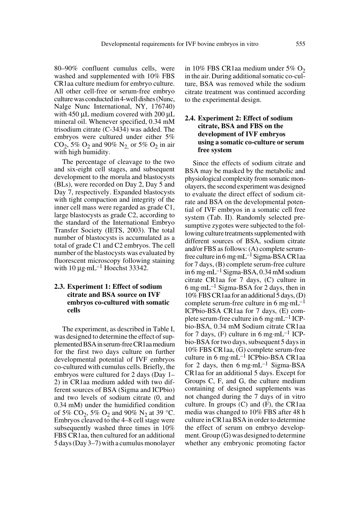80–90% confluent cumulus cells, were washed and supplemented with 10% FBS CR1aa culture medium for embryo culture. All other cell-free or serum-free embryo culture was conducted in 4-well dishes (Nunc, Nalge Nunc International, NY, 176740) with 450 µL medium covered with 200 µL mineral oil. Whenever specified, 0.34 mM trisodium citrate (C-3434) was added. The embryos were cultured under either 5%  $CO_2$ , 5%  $O_2$  and 90%  $N_2$  or 5%  $O_2$  in air with high humidity.

The percentage of cleavage to the two and six-eight cell stages, and subsequent development to the morula and blastocysts (BLs), were recorded on Day 2, Day 5 and Day 7, respectively. Expanded blastocysts with tight compaction and integrity of the inner cell mass were regarded as grade C1, large blastocysts as grade C2, according to the standard of the International Embryo Transfer Society (IETS, 2003). The total number of blastocysts is accumulated as a total of grade C1 and C2 embryos. The cell number of the blastocysts was evaluated by fluorescent microscopy following staining with  $10 \mu$ g·mL<sup>-1</sup> Hoechst 33342.

# **2.3. Experiment 1: Effect of sodium citrate and BSA source on IVF embryos co-cultured with somatic cells**

The experiment, as described in Table I, was designed to determine the effect of supplemented BSA in serum-free CR1aa medium for the first two days culture on further developmental potential of IVF embryos co-cultured with cumulus cells. Briefly, the embryos were cultured for 2 days (Day 1– 2) in CR1aa medium added with two different sources of BSA (Sigma and ICPbio) and two levels of sodium citrate (0, and 0.34 mM) under the humidified condition of 5% CO<sub>2</sub>, 5% O<sub>2</sub> and 90% N<sub>2</sub> at 39 °C. Embryos cleaved to the 4–8 cell stage were subsequently washed three times in 10% FBS CR1aa, then cultured for an additional 5 days (Day 3–7) with a cumulus monolayer

in 10% FBS CR1aa medium under 5%  $O<sub>2</sub>$ in the air. During additional somatic co-culture, BSA was removed while the sodium citrate treatment was continued according to the experimental design.

# **2.4. Experiment 2: Effect of sodium citrate, BSA and FBS on the development of IVF embryos using a somatic co-culture or serum free system**

Since the effects of sodium citrate and BSA may be masked by the metabolic and physiological complexity from somatic monolayers, the second experiment was designed to evaluate the direct effect of sodium citrate and BSA on the developmental potential of IVF embryos in a somatic cell free system (Tab. II). Randomly selected presumptive zygotes were subjected to the following culture treatments supplemented with different sources of BSA, sodium citrate and/or FBS as follows: (A) complete serumfree culture in 6 mg·mL–1 Sigma-BSA CR1aa for 7 days, (B) complete serum-free culture in 6 mg·mL–1 Sigma-BSA, 0.34 mM sodium citrate CR1aa for 7 days, (C) culture in 6 mg·mL–1 Sigma-BSA for 2 days, then in 10% FBS CR1aa for an additional 5 days, (D) complete serum-free culture in 6 mg·mL<sup>-1</sup> ICPbio-BSA CR1aa for 7 days, (E) complete serum-free culture in 6 mg·mL–1 ICPbio-BSA, 0.34 mM Sodium citrate CR1aa for 7 days, (F) culture in 6 mg·mL<sup>-1</sup> ICPbio-BSA for two days, subsequent 5 days in 10% FBS CR1aa, (G) complete serum-free culture in 6 mg·mL–1 ICPbio-BSA CR1aa for 2 days, then 6 mg·mL<sup>-1</sup> Sigma-BSA CR1aa for an additional 5 days. Except for Groups C, F, and G, the culture medium containing of designed supplements was not changed during the 7 days of in vitro culture. In groups  $(C)$  and  $(F)$ , the CR1aa media was changed to 10% FBS after 48 h culture in CR1aa BSA in order to determine the effect of serum on embryo development. Group (G) was designed to determine whether any embryonic promoting factor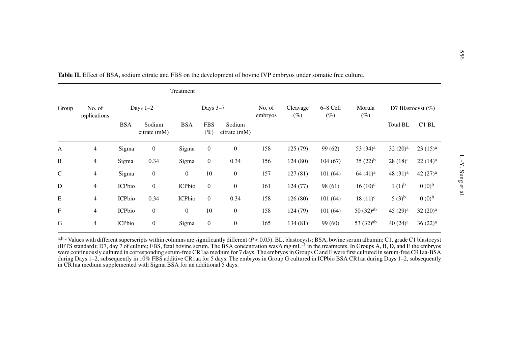|              | No. of<br>replications |               |                        | Treatment        |                      |                        |                    |                 |                  |                        |                     |                     |
|--------------|------------------------|---------------|------------------------|------------------|----------------------|------------------------|--------------------|-----------------|------------------|------------------------|---------------------|---------------------|
| Group        |                        | Days $1-2$    |                        | Days 3-7         |                      | No. of<br>embryos      | Cleavage<br>$(\%)$ | 6-8 Cell<br>(%) | Morula<br>$(\%)$ | D7 Blastocyst $(\%)$   |                     |                     |
|              |                        | <b>BSA</b>    | Sodium<br>citrate (mM) | <b>BSA</b>       | <b>FBS</b><br>$(\%)$ | Sodium<br>citrate (mM) |                    |                 |                  |                        | <b>Total BL</b>     | C <sub>1</sub> BL   |
| A            | $\overline{4}$         | Sigma         | $\mathbf{0}$           | Sigma            | $\boldsymbol{0}$     | $\overline{0}$         | 158                | 125 (79)        | 99 (62)          | 53 $(34)^a$            | 32(20) <sup>a</sup> | $23(15)^{a}$        |
| B            | 4                      | Sigma         | 0.34                   | Sigma            | $\overline{0}$       | 0.34                   | 156                | 124(80)         | 104(67)          | $35(22)^{b}$           | $28(18)^{a}$        | $22(14)^a$          |
| $\mathsf{C}$ | 4                      | Sigma         | $\boldsymbol{0}$       | $\boldsymbol{0}$ | 10                   | $\mathbf{0}$           | 157                | 127(81)         | 101(64)          | $64(41)^a$             | 48 $(31)^a$         | 42 $(27)^a$         |
| D            | 4                      | <b>ICPbio</b> | $\overline{0}$         | <b>ICPbio</b>    | $\overline{0}$       | $\mathbf{0}$           | 161                | 124 (77)        | 98 (61)          | $16(10)^{c}$           | $1(1)^{b}$          | $(0.0)^{b}$         |
| Ε            | 4                      | <b>ICPbio</b> | 0.34                   | <b>ICPbio</b>    | $\overline{0}$       | 0.34                   | 158                | 126(80)         | 101(64)          | $18(11)^{c}$           | $(3)^{b}$           | $(0.0)^{b}$         |
| $\mathbf{F}$ | $\overline{4}$         | <b>ICPbio</b> | $\mathbf{0}$           | $\overline{0}$   | 10                   | $\mathbf{0}$           | 158                | 124 (79)        | 101(64)          | $50(32)$ <sup>ab</sup> | $45(29)^{a}$        | 32(20) <sup>a</sup> |
| G            | 4                      | <b>ICPbio</b> | $\mathbf{0}$           | Sigma            | $\mathbf{0}$         | $\overline{0}$         | 165                | 134(81)         | 99 (60)          | 53 $(32)^{ab}$         | $40(24)^a$          | $36(22)^a$          |

a,b,c Values with different superscripts within columns are significantly different (*P* < 0.05). BL, blastocysts; BSA, bovine serum albumin; C1, grade C1 blastocyst (IETS standard); D7, day 7 of culture; FBS, fetal bovine serum. The BSA concentration was 6 mg·mL<sup>-1</sup> in the treatments. In Groups A, B, D, and E the embryos were continuously cultured in corresponding serum-free CR1aa medium for 7 days. The embryos in Groups C and F were first cultured in serum-free CR1aa-BSA during Days 1–2, subsequently in 10% FBS additive CR1aa for 5 days. The embryos in Group G cultured in ICPbio BSA CR1aa during Days 1–2, subsequently in CR1aa medium supplemented with Sigma BSA for an additional 5 days.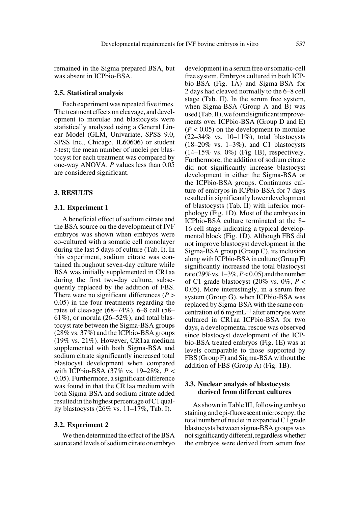remained in the Sigma prepared BSA, but was absent in ICPbio-BSA.

#### **2.5. Statistical analysis**

Each experiment was repeated five times. The treatment effects on cleavage, and development to morulae and blastocysts were statistically analyzed using a General Linear Model (GLM, Univariate, SPSS 9.0, SPSS Inc., Chicago, IL60606) or student *t*-test; the mean number of nuclei per blastocyst for each treatment was compared by one-way ANOVA. *P* values less than 0.05 are considered significant.

#### **3. RESULTS**

#### **3.1. Experiment 1**

A beneficial effect of sodium citrate and the BSA source on the development of IVF embryos was shown when embryos were co-cultured with a somatic cell monolayer during the last 5 days of culture (Tab. I). In this experiment, sodium citrate was contained throughout seven-day culture while BSA was initially supplemented in CR1aa during the first two-day culture, subsequently replaced by the addition of FBS. There were no significant differences (*P* > 0.05) in the four treatments regarding the rates of cleavage (68–74%), 6–8 cell (58–  $61\%$ ), or morula (26–52%), and total blastocyst rate between the Sigma-BSA groups (28% vs. 37%) and the ICPbio-BSA groups (19% vs. 21%). However, CR1aa medium supplemented with both Sigma-BSA and sodium citrate significantly increased total blastocyst development when compared with ICPbio-BSA (37% vs. 19–28%, *P* < 0.05). Furthermore, a significant difference was found in that the CR1aa medium with both Sigma-BSA and sodium citrate added resulted in the highest percentage of C1 quality blastocysts (26% vs. 11–17%, Tab. I).

## **3.2. Experiment 2**

We then determined the effect of the BSA source and levels of sodium citrate on embryo development in a serum free or somatic-cell free system. Embryos cultured in both ICPbio-BSA (Fig. 1A) and Sigma-BSA for 2 days had cleaved normally to the 6–8 cell stage (Tab. II). In the serum free system, when Sigma-BSA (Group A and B) was used (Tab. II), we found significant improvements over ICPbio-BSA (Group D and E)  $(P < 0.05)$  on the development to morulae  $(22-34\% \text{ vs. } 10-11\%), \text{ total blastocysts}$  $(18-20\% \text{ vs. } 1-3\%)$ , and C1 blastocysts  $(14-15\% \text{ vs. } 0\%)$  (Fig 1B), respectively. Furthermore, the addition of sodium citrate did not significantly increase blastocyst development in either the Sigma-BSA or the ICPbio-BSA groups. Continuous culture of embryos in ICPbio-BSA for 7 days resulted in significantly lower development of blastocysts (Tab. II) with inferior morphology (Fig. 1D). Most of the embryos in ICPbio-BSA culture terminated at the 8– 16 cell stage indicating a typical developmental block (Fig. 1D). Although FBS did not improve blastocyst development in the Sigma-BSA group (Group C), its inclusion along with ICPbio-BSA in culture (Group F) significantly increased the total blastocyst rate (29% vs. 1–3%, *P* < 0.05) and the number of C1 grade blastocyst  $(20\% \text{ vs. } 0\%, P <$ 0.05). More interestingly, in a serum free system (Group G), when ICPbio-BSA was replaced by Sigma-BSA with the same concentration of 6 mg·mL<sup>-1</sup> after embryos were cultured in CR1aa ICPbio-BSA for two days, a developmental rescue was observed since blastocyst development of the ICPbio-BSA treated embryos (Fig. 1E) was at levels comparable to those supported by FBS (Group F) and Sigma-BSA without the addition of FBS (Group A) (Fig. 1B).

# **3.3. Nuclear analysis of blastocysts derived from different cultures**

As shown in Table III, following embryo staining and epi-fluorescent microscopy, the total number of nuclei in expanded C1 grade blastocysts between sigma-BSA groups was not significantly different, regardless whether the embryos were derived from serum free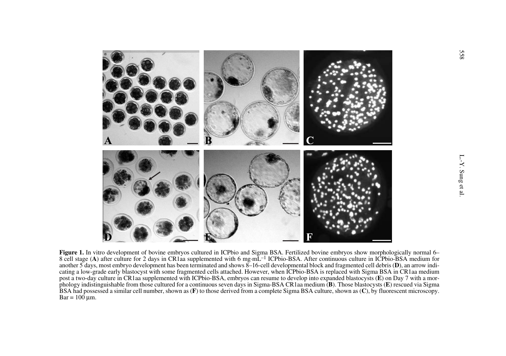

**Figure 1.** In vitro development of bovine embryos cultured in ICPbio and Sigma BSA. Fertilized bovine embryos show morphologically normal 6– 8 cell stage (A) after culture for 2 days in CR1aa supplemented with 6 mg·mL<sup>-1</sup> ICPbio-BSA. After continuous culture in ICPbio-BSA medium for another 5 days, most embryo development has been terminated and shows 8–16-cell developmental block and fragmented cell debris ( **D**), an arrow indicating a low-grade early blastocyst with some fragmented cells attached. However, when ICPbio-BSA is replaced with Sigma BSA in CR1aa medium post a two-day culture in CR1aa supplemented with ICPbio-BSA, embryos can resume to develop into expanded blastocysts ( **E**) on Day 7 with a morphology indistinguishable from those cultured for a continuous seven days in Sigma-BSA CR1aa medium ( **B**). Those blastocysts ( **E**) rescued via Sigma BSA had possessed a similar cell number, shown as ( **F**) to those derived from a complete Sigma BSA culture, shown as ( **C**), by fluorescent microscopy. Bar = 100 µm.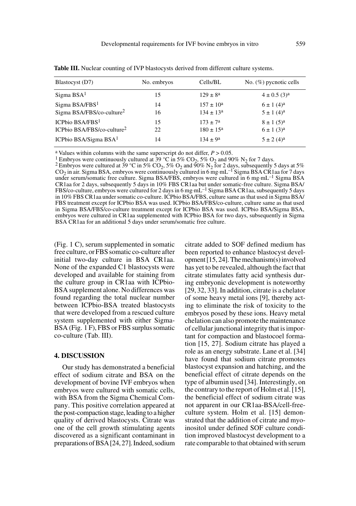| Blastocyst (D7)                                                     | No. embryos | Cells/BL                                    | No. $(\%)$ pycnotic cells                                |
|---------------------------------------------------------------------|-------------|---------------------------------------------|----------------------------------------------------------|
| Sigma BSA <sup>1</sup>                                              | 15          | $129 \pm 8^a$                               | $4 \pm 0.5$ (3) <sup>a</sup>                             |
| Sigma BSA/FBS <sup>1</sup><br>Sigma BSA/FBS/co-culture <sup>2</sup> | 14<br>16    | $157 \pm 10^a$<br>$134 \pm 13^a$            | $6 \pm 1$ (4) <sup>a</sup><br>$5 \pm 1$ (4) <sup>a</sup> |
| ICPhio $BSA/FBS1$<br>ICPbio BSA/FBS/co-culture <sup>2</sup>         | 15<br>22    | $173 \pm 7^{\circ}$<br>$180 \pm 15^{\rm a}$ | $8 \pm 1$ (5) <sup>a</sup><br>$6 \pm 1$ (3) <sup>a</sup> |
| ICPbio BSA/Sigma BSA $1$                                            | 14          | $134 \pm 9^a$                               | $5 \pm 2$ (4) <sup>a</sup>                               |

**Table III.** Nuclear counting of IVP blastocysts derived from different culture systems.

<sup>a</sup> Values within columns with the same superscript do not differ,  $P > 0.05$ .<br><sup>1</sup> Embryos were continuously cultured at 39 °C in 5% CO<sub>2</sub>, 5% O<sub>2</sub> and 90% N<sub>2</sub> for 7 days.

<sup>2</sup> Embryos were cultured at 39 °C in 5% CO<sub>2</sub>, 5% O<sub>2</sub> and 90% N<sub>2</sub> for 2 days, subsequently 5 days at 5%  $CO<sub>2</sub>$  in air. Sigma BSA, embryos were continuously cultured in 6 mg·mL<sup>-1</sup> Sigma BSA CR1aa for 7 days under serum/somatic free culture. Sigma BSA/FBS, embryos were cultured in 6 mg·mL<sup>-1</sup> Sigma BSA CR1aa for 2 days, subsequently 5 days in 10% FBS CR1aa but under somatic-free culture. Sigma BSA/ FBS/co-culture, embryos were cultured for 2 days in 6 mg·mL–1 Sigma BSA CR1aa, subsequently 5 days in 10% FBS CR1aa under somatic co-culture. ICPbio BSA/FBS, culture same as that used in Sigma BSA/ FBS treatment except for ICPbio BSA was used. ICPbio BSA/FBS/co-culture, culture same as that used in Sigma BSA/FBS/co-culture treatment except for ICPbio BSA was used. ICPbio BSA/Sigma BSA, embryos were cultured in CR1aa supplemented with ICPbio BSA for two days, subsequently in Sigma BSA CR1aa for an additional 5 days under serum/somatic free culture.

(Fig. 1 C), serum supplemented in somatic free culture, or FBS somatic co-culture after initial two-day culture in BSA CR1aa. None of the expanded C1 blastocysts were developed and available for staining from the culture group in CR1aa with ICPbio-BSA supplement alone. No differences was found regarding the total nuclear number between ICPbio-BSA treated blastocysts that were developed from a rescued culture system supplemented with either Sigma-BSA (Fig. 1 F), FBS or FBS surplus somatic co-culture (Tab. III).

#### **4. DISCUSSION**

Our study has demonstrated a beneficial effect of sodium citrate and BSA on the development of bovine IVF embryos when embryos were cultured with somatic cells, with BSA from the Sigma Chemical Company. This positive correlation appeared at the post-compaction stage, leading to a higher quality of derived blastocysts. Citrate was one of the cell growth stimulating agents discovered as a significant contaminant in preparations of BSA [24, 27]. Indeed, sodium citrate added to SOF defined medium has been reported to enhance blastocyst development [15, 24]. The mechanism(s) involved has yet to be revealed, although the fact that citrate stimulates fatty acid synthesis during embryonic development is noteworthy [29, 32, 33]. In addition, citrate is a chelator of some heavy metal ions [9], thereby acting to eliminate the risk of toxicity to the embryos posed by these ions. Heavy metal chelation can also promote the maintenance of cellular junctional integrity that is important for compaction and blastocoel formation [15, 27]. Sodium citrate has played a role as an energy substrate. Lane et al. [34] have found that sodium citrate promotes blastocyst expansion and hatching, and the beneficial effect of citrate depends on the type of albumin used [34]. Interestingly, on the contrary to the report of Holm et al. [15], the beneficial effect of sodium citrate was not apparent in our CR1aa-BSA/cell-freeculture system. Holm et al. [15] demonstrated that the addition of citrate and myoinositol under defined SOF culture condition improved blastocyst development to a rate comparable to that obtained with serum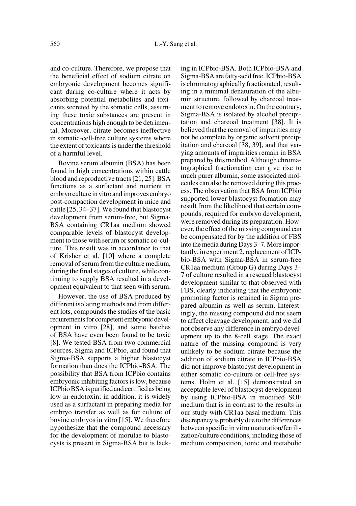and co-culture. Therefore, we propose that the beneficial effect of sodium citrate on embryonic development becomes significant during co-culture where it acts by absorbing potential metabolites and toxicants secreted by the somatic cells, assuming these toxic substances are present in concentrations high enough to be detrimental. Moreover, citrate becomes ineffective in somatic-cell-free culture systems where the extent of toxicants is under the threshold of a harmful level.

Bovine serum albumin (BSA) has been found in high concentrations within cattle blood and reproductive tracts [21, 25]. BSA functions as a surfactant and nutrient in embryo culture in vitro and improves embryo post-compaction development in mice and cattle [25, 34–37]. We found that blastocyst development from serum-free, but Sigma-BSA containing CR1aa medium showed comparable levels of blastocyst development to those with serum or somatic co-culture. This result was in accordance to that of Krisher et al. [10] where a complete removal of serum from the culture medium, during the final stages of culture, while continuing to supply BSA resulted in a development equivalent to that seen with serum.

However, the use of BSA produced by different isolating methods and from different lots, compounds the studies of the basic requirements for competent embryonic development in vitro [28], and some batches of BSA have even been found to be toxic [8]. We tested BSA from two commercial sources, Sigma and ICPbio, and found that Sigma-BSA supports a higher blastocyst formation than does the ICPbio-BSA. The possibility that BSA from ICPbio contains embryonic inhibiting factors is low, because ICPbio BSA is purified and certified as being low in endotoxin; in addition, it is widely used as a surfactant in preparing media for embryo transfer as well as for culture of bovine embryos in vitro [15]. We therefore hypothesize that the compound necessary for the development of morulae to blastocysts is present in Sigma-BSA but is lacking in ICPbio-BSA. Both ICPbio-BSA and Sigma-BSA are fatty-acid free. ICPbio-BSA is chromatographically fractionated, resulting in a minimal denaturation of the albumin structure, followed by charcoal treatment to remove endotoxin. On the contrary, Sigma-BSA is isolated by alcohol precipitation and charcoal treatment [38]. It is believed that the removal of impurities may not be complete by organic solvent precipitation and charcoal [38, 39], and that varying amounts of impurities remain in BSA prepared by this method. Although chromatographical fractionation can give rise to much purer albumin, some associated molecules can also be removed during this process. The observation that BSA from ICPbio supported lower blastocyst formation may result from the likelihood that certain compounds, required for embryo development, were removed during its preparation. However, the effect of the missing compound can be compensated for by the addition of FBS into the media during Days 3–7. More importantly, in experiment 2, replacement of ICPbio-BSA with Sigma-BSA in serum-free CR1aa medium (Group G) during Days 3– 7 of culture resulted in a rescued blastocyst development similar to that observed with FBS, clearly indicating that the embryonic promoting factor is retained in Sigma prepared albumin as well as serum. Interestingly, the missing compound did not seem to affect cleavage development, and we did not observe any difference in embryo development up to the 8-cell stage. The exact nature of the missing compound is very unlikely to be sodium citrate because the addition of sodium citrate in ICPbio-BSA did not improve blastocyst development in either somatic co-culture or cell-free systems. Holm et al. [15] demonstrated an acceptable level of blastocyst development by using ICPbio-BSA in modified SOF medium that is in contrast to the results in our study with CR1aa basal medium. This discrepancy is probably due to the differences between specific in vitro maturation/fertilization/culture conditions, including those of medium composition, ionic and metabolic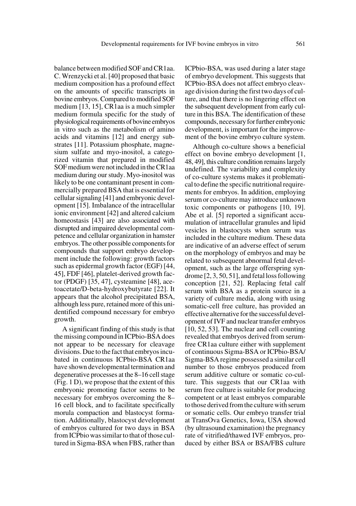balance between modified SOF and CR1aa. C. Wrenzycki et al. [40] proposed that basic medium composition has a profound effect on the amounts of specific transcripts in bovine embryos. Compared to modified SOF medium [13, 15], CR1aa is a much simpler medium formula specific for the study of physiological requirements of bovine embryos in vitro such as the metabolism of amino acids and vitamins [12] and energy substrates [11]. Potassium phosphate, magnesium sulfate and myo-inositol, a categorized vitamin that prepared in modified SOF medium were not included in the CR1aa medium during our study. Myo-inositol was likely to be one contaminant present in commercially prepared BSA that is essential for cellular signaling [41] and embryonic development [15]. Imbalance of the intracellular ionic environment [42] and altered calcium homeostasis [43] are also associated with disrupted and impaired developmental competence and cellular organization in hamster embryos. The other possible components for compounds that support embryo development include the following: growth factors such as epidermal growth factor (EGF) [44, 45], FDF [46], platelet-derived growth factor (PDGF) [35, 47], cysteamine [48], acetoacetate/D-beta-hydroxybutyrate [22]. It appears that the alcohol precipitated BSA, although less pure, retained more of this unidentified compound necessary for embryo growth.

A significant finding of this study is that the missing compound in ICPbio-BSA does not appear to be necessary for cleavage divisions. Due to the fact that embryos incubated in continuous ICPbio-BSA CR1aa have shown developmental termination and degenerative processes at the 8–16 cell stage (Fig. 1 D), we propose that the extent of this embryonic promoting factor seems to be necessary for embryos overcoming the 8– 16 cell block, and to facilitate specifically morula compaction and blastocyst formation. Additionally, blastocyst development of embryos cultured for two days in BSA from ICPbio was similar to that of those cultured in Sigma-BSA when FBS, rather than

ICPbio-BSA, was used during a later stage of embryo development. This suggests that ICPbio-BSA does not affect embryo cleavage division during the first two days of culture, and that there is no lingering effect on the subsequent development from early culture in this BSA. The identification of these compounds, necessary for further embryonic development, is important for the improvement of the bovine embryo culture system.

Although co-culture shows a beneficial effect on bovine embryo development [1, 48, 49], this culture condition remains largely undefined. The variability and complexity of co-culture systems makes it problematical to define the specific nutritional requirements for embryos. In addition, employing serum or co-culture may introduce unknown toxic components or pathogens [10, 19]. Abe et al. [5] reported a significant accumulation of intracellular granules and lipid vesicles in blastocysts when serum was included in the culture medium. These data are indicative of an adverse effect of serum on the morphology of embryos and may be related to subsequent abnormal fetal development, such as the large offerspring syndrome [2, 3, 50, 51], and fetal loss following conception [21, 52]. Replacing fetal calf serum with BSA as a protein source in a variety of culture media, along with using somatic-cell free culture, has provided an effective alternative for the successful development of IVF and nuclear transfer embryos [10, 52, 53]. The nuclear and cell counting revealed that embryos derived from serumfree CR1aa culture either with supplement of continuous Sigma-BSA or ICPbio-BSA/ Sigma-BSA regime possessed a similar cell number to those embryos produced from serum additive culture or somatic co-culture. This suggests that our CR1aa with serum free culture is suitable for producing competent or at least embryos comparable to those derived from the culture with serum or somatic cells. Our embryo transfer trial at TransOva Genetics, Iowa, USA showed (by ultrasound examination) the pregnancy rate of vitrified/thawed IVF embryos, produced by either BSA or BSA/FBS culture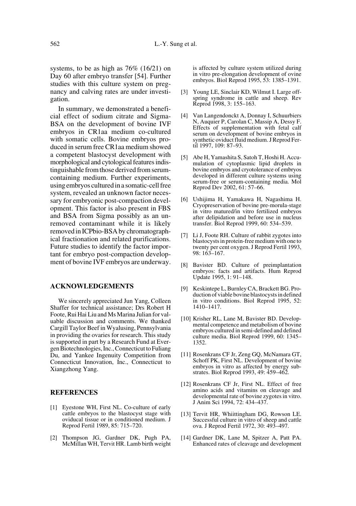systems, to be as high as 76% (16/21) on Day 60 after embryo transfer [54]. Further studies with this culture system on pregnancy and calving rates are under investigation.

In summary, we demonstrated a beneficial effect of sodium citrate and Sigma-BSA on the development of bovine IVF embryos in CR1aa medium co-cultured with somatic cells. Bovine embryos produced in serum free CR1aa medium showed a competent blastocyst development with morphological and cytological features indistinguishable from those derived from serumcontaining medium. Further experiments, using embryos cultured in a somatic-cell free system, revealed an unknown factor necessary for embryonic post-compaction development. This factor is also present in FBS and BSA from Sigma possibly as an unremoved contaminant while it is likely removed in ICPbio-BSA by chromatographical fractionation and related purifications. Future studies to identify the factor important for embryo post-compaction development of bovine IVF embryos are underway.

#### **ACKNOWLEDGEMENTS**

We sincerely appreciated Jun Yang, Colleen Shaffer for technical assistance; Drs Robert H Foote, Rui Hai Liu and Ms Marina Julian for valuable discussion and comments. We thanked Cargill Taylor Beef in Wyalusing, Pennsylvania in providing the ovaries for research. This study is supported in part by a Research Fund at Evergen Biotechnologies, Inc., Connecticut to Fuliang Du, and Yankee Ingenuity Competition from Connecticut Innovation, Inc., Connecticut to Xiangzhong Yang.

#### **REFERENCES**

- [1] Eyestone WH, First NL. Co-culture of early cattle embryos to the blastocyst stage with oviducal tissue or in conditioned medium. J Reprod Fertil 1989, 85: 715–720.
- [2] Thompson JG, Gardner DK, Pugh PA, McMillan WH, Tervit HR. Lamb birth weight

is affected by culture system utilized during in vitro pre-elongation development of ovine embryos. Biol Reprod 1995, 53: 1385–1391.

- [3] Young LE, Sinclair KD, Wilmut I. Large offspring syndrome in cattle and sheep. Rev Reprod 1998, 3: 155–163.
- [4] Van Langendonckt A, Donnay I, Schuurbiers N, Auquier P, Carolan C, Massip A, Dessy F. Effects of supplementation with fetal calf serum on development of bovine embryos in synthetic oviduct fluid medium. J Reprod Fertil 1997, 109: 87–93.
- [5] Abe H, Yamashita S, Satoh T, Hoshi H. Accumulation of cytoplasmic lipid droplets in bovine embryos and cryotolerance of embryos developed in different culture systems using serum-free or serum-containing media. Mol Reprod Dev 2002, 61: 57–66.
- [6] Ushijima H, Yamakawa H, Nagashima H. Cryopreservation of bovine pre-morula-stage in vitro matured/in vitro fertilized embryos after delipidation and before use in nucleus transfer. Biol Reprod 1999, 60: 534–539.
- [7] Li J, Foote RH. Culture of rabbit zygotes into blastocysts in protein-free medium with one to twenty per cent oxygen. J Reprod Fertil 1993, 98: 163–167.
- [8] Bavister BD. Culture of preimplantation embryos: facts and artifacts. Hum Reprod Update 1995, 1: 91–148.
- [9] Keskintepe L, Burnley CA, Brackett BG. Production of viable bovine blastocysts in defined in vitro conditions. Biol Reprod 1995, 52: 1410–1417.
- [10] Krisher RL, Lane M, Bavister BD. Developmental competence and metabolism of bovine embryos cultured in semi-defined and defined culture media. Biol Reprod 1999, 60: 1345– 1352.
- [11] Rosenkrans CF Jr, Zeng GQ, McNamara GT, Schoff PK, First NL. Development of bovine embryos in vitro as affected by energy substrates. Biol Reprod 1993, 49: 459–462.
- [12] Rosenkrans CF Jr, First NL. Effect of free amino acids and vitamins on cleavage and developmental rate of bovine zygotes in vitro. J Anim Sci 1994, 72: 434–437.
- [13] Tervit HR, Whiittingham DG, Rowson LE. Successful culture in vitro of sheep and cattle ova. J Reprod Fertil 1972, 30: 493–497.
- [14] Gardner DK, Lane M, Spitzer A, Patt PA. Enhanced rates of cleavage and development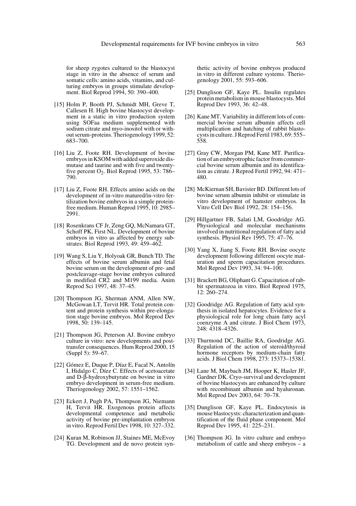for sheep zygotes cultured to the blastocyst stage in vitro in the absence of serum and somatic cells: amino acids, vitamins, and culturing embryos in groups stimulate development. Biol Reprod 1994, 50: 390–400.

- [15] Holm P, Booth PJ, Schmidt MH, Greve T, Callesen H. High bovine blastocyst development in a static in vitro production system using SOFaa medium supplemented with sodium citrate and myo-inositol with or without serum-proteins. Theriogenology 1999, 52: 683–700.
- [16] Liu Z, Foote RH. Development of bovine embryos in KSOM with added superoxide dismutase and taurine and with five and twentyfive percent  $O_2$ . Biol Reprod 1995, 53: 786– 790.
- [17] Liu Z, Foote RH. Effects amino acids on the development of in-vitro matured/in-vitro fertilization bovine embryos in a simple proteinfree medium. Human Reprod 1995, 10: 2985– 2991.
- [18] Rosenkrans CF Jr, Zeng GQ, McNamara GT, Schoff PK, First NL. Development of bovine embryos in vitro as affected by energy substrates. Biol Reprod 1993, 49: 459–462.
- [19] Wang S, Liu Y, Holyoak GR, Bunch TD. The effects of bovine serum albumin and fetal bovine serum on the development of pre- and postcleavage-stage bovine embryos cultured in modified CR2 and M199 media. Anim Reprod Sci 1997, 48: 37–45.
- [20] Thompson JG, Sherman ANM, Allen NW, McGowan LT, Tervit HR. Total protein content and protein synthesis within pre-elongation stage bovine embryos. Mol Reprod Dev 1998, 50: 139–145.
- [21] Thompson JG, Peterson AJ. Bovine embryo culture in vitro: new developments and posttransfer consequences. Hum Reprod 2000, 15 (Suppl 5): 59–67.
- [22] Gómez E, Duque P, Díaz E, Facal N, Antolín I, Hidalgo C, Díez C. Effects of acetoacetate and D-β-hydroxybutyrate on bovine in vitro embryo development in serum-free medium. Theriogenology 2002, 57: 1551–1562.
- [23] Eckert J, Pugh PA, Thompson JG, Niemann H, Tervit HR. Exogenous protein affects developmental competence and metabolic activity of bovine pre-implantation embryos in vitro. Reprod Fertil Dev 1998, 10: 327–332.
- [24] Kuran M, Robinson JJ, Staines ME, McEvoy TG. Development and de novo protein syn-

thetic activity of bovine embryos produced in vitro in different culture systems. Theriogenology 2001, 55: 593–606.

- [25] Dunglison GF, Kaye PL. Insulin regulates protein metabolism in mouse blastocysts. Mol Reprod Dev 1993, 36: 42–48.
- [26] Kane MT. Variability in different lots of commercial bovine serum albumin affects cell multiplication and hatching of rabbit blastocysts in culture. J Reprod Fertil 1983, 69: 555– 558.
- [27] Gray CW, Morgan PM, Kane MT. Purification of an embryotrophic factor from commercial bovine serum albumin and its identification as citrate. J Reprod Fertil 1992, 94: 471– 480.
- [28] McKiernan SH, Bavister BD. Different lots of bovine serum albumin inhibit or stimulate in vitro development of hamster embryos. In Vitro Cell Dev Biol 1992, 28: 154–156.
- [29] Hillgartner FB, Salati LM, Goodridge AG. Physiological and molecular mechanisms involved in nutritional regulation of fatty acid synthesis. Physiol Rev 1995, 75: 47–76.
- [30] Yang X, Jiang S, Foote RH. Bovine oocyte development following different oocyte maturation and sperm capacitation procedures. Mol Reprod Dev 1993, 34: 94–100.
- [31] Brackett BG, Oliphant G. Capacitation of rabbit spermatozoa in vitro. Biol Reprod 1975, 12: 260–274.
- [32] Goodridge AG. Regulation of fatty acid synthesis in isolated hepatocytes. Evidence for a physiological role for long chain fatty acyl coenzyme A and citrate. J Biol Chem 1973, 248: 4318–4326.
- [33] Thurmond DC, Baillie RA, Goodridge AG. Regulation of the action of steroid/thyroid hormone receptors by medium-chain fatty acids. J Biol Chem 1998, 273: 15373–15381.
- [34] Lane M, Maybach JM, Hooper K, Hasler JF, Gardner DK. Cryo-survival and development of bovine blastocysts are enhanced by culture with recombinant albumin and hyaluronan. Mol Reprod Dev 2003, 64: 70–78.
- [35] Dunglison GF, Kaye PL. Endocytosis in mouse blastocysts: characterization and quantification of the fluid phase component. Mol Reprod Dev 1995, 41: 225–231.
- [36] Thompson JG. In vitro culture and embryo metabolism of cattle and sheep embryos – a